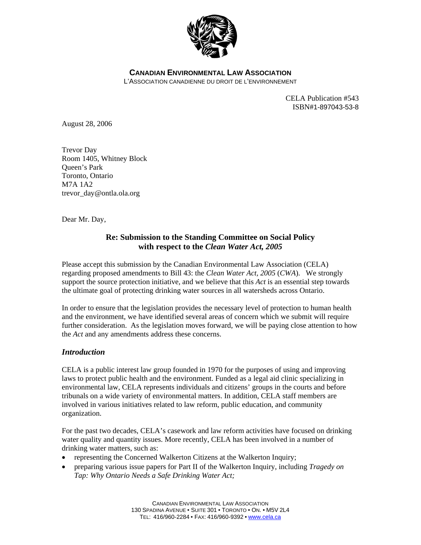

**CANADIAN ENVIRONMENTAL LAW ASSOCIATION**

L'ASSOCIATION CANADIENNE DU DROIT DE L'ENVIRONNEMENT

CELA Publication #543 ISBN#1-897043-53-8

August 28, 2006

Trevor Day Room 1405, Whitney Block Queen's Park Toronto, Ontario M7A 1A2 trevor\_day@ontla.ola.org

Dear Mr. Day,

# **Re: Submission to the Standing Committee on Social Policy with respect to the** *Clean Water Act, 2005*

Please accept this submission by the Canadian Environmental Law Association (CELA) regarding proposed amendments to Bill 43: the *Clean Water Act, 2005* (*CWA*). We strongly support the source protection initiative, and we believe that this *Act* is an essential step towards the ultimate goal of protecting drinking water sources in all watersheds across Ontario.

In order to ensure that the legislation provides the necessary level of protection to human health and the environment, we have identified several areas of concern which we submit will require further consideration. As the legislation moves forward, we will be paying close attention to how the *Act* and any amendments address these concerns.

# *Introduction*

CELA is a public interest law group founded in 1970 for the purposes of using and improving laws to protect public health and the environment. Funded as a legal aid clinic specializing in environmental law, CELA represents individuals and citizens' groups in the courts and before tribunals on a wide variety of environmental matters. In addition, CELA staff members are involved in various initiatives related to law reform, public education, and community organization.

For the past two decades, CELA's casework and law reform activities have focused on drinking water quality and quantity issues. More recently, CELA has been involved in a number of drinking water matters, such as:

- representing the Concerned Walkerton Citizens at the Walkerton Inquiry;
- preparing various issue papers for Part II of the Walkerton Inquiry, including *Tragedy on Tap: Why Ontario Needs a Safe Drinking Water Act;*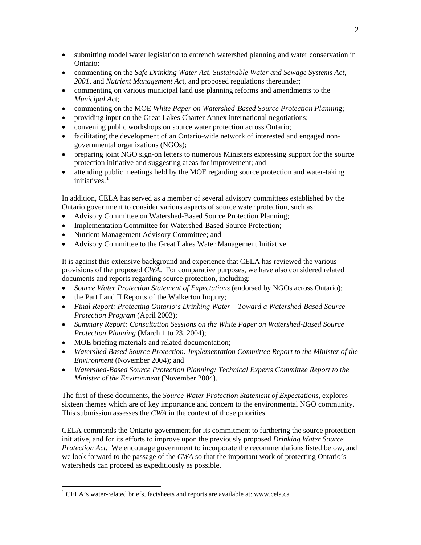- submitting model water legislation to entrench watershed planning and water conservation in Ontario;
- commenting on the *Safe Drinking Water Act, Sustainable Water and Sewage Systems Act, 2001*, and *Nutrient Management Ac*t, and proposed regulations thereunder;
- commenting on various municipal land use planning reforms and amendments to the *Municipal Ac*t;
- commenting on the MOE *White Paper on Watershed-Based Source Protection Plannin*g;
- providing input on the Great Lakes Charter Annex international negotiations;
- convening public workshops on source water protection across Ontario;
- facilitating the development of an Ontario-wide network of interested and engaged nongovernmental organizations (NGOs);
- preparing joint NGO sign-on letters to numerous Ministers expressing support for the source protection initiative and suggesting areas for improvement; and
- attending public meetings held by the MOE regarding source protection and water-taking initiatives. $<sup>1</sup>$  $<sup>1</sup>$  $<sup>1</sup>$ </sup>

In addition, CELA has served as a member of several advisory committees established by the Ontario government to consider various aspects of source water protection, such as:

- Advisory Committee on Watershed-Based Source Protection Planning;
- Implementation Committee for Watershed-Based Source Protection;
- Nutrient Management Advisory Committee; and
- Advisory Committee to the Great Lakes Water Management Initiative.

It is against this extensive background and experience that CELA has reviewed the various provisions of the proposed *CWA*. For comparative purposes, we have also considered related documents and reports regarding source protection, including:

- *Source Water Protection Statement of Expectations* (endorsed by NGOs across Ontario);
- the Part I and II Reports of the Walkerton Inquiry;
- *Final Report: Protecting Ontario's Drinking Water Toward a Watershed-Based Source Protection Program* (April 2003);
- *Summary Report: Consultation Sessions on the White Paper on Watershed-Based Source Protection Planning* (March 1 to 23, 2004);
- MOE briefing materials and related documentation;

 $\overline{a}$ 

- *Watershed Based Source Protection: Implementation Committee Report to the Minister of the Environment* (November 2004); and
- *Watershed-Based Source Protection Planning: Technical Experts Committee Report to the Minister of the Environment* (November 2004).

The first of these documents, the *Source Water Protection Statement of Expectations*, explores sixteen themes which are of key importance and concern to the environmental NGO community. This submission assesses the *CWA* in the context of those priorities.

CELA commends the Ontario government for its commitment to furthering the source protection initiative, and for its efforts to improve upon the previously proposed *Drinking Water Source Protection Act*. We encourage government to incorporate the recommendations listed below, and we look forward to the passage of the *CWA* so that the important work of protecting Ontario's watersheds can proceed as expeditiously as possible.

<span id="page-1-0"></span><sup>&</sup>lt;sup>1</sup> CELA's water-related briefs, factsheets and reports are available at: www.cela.ca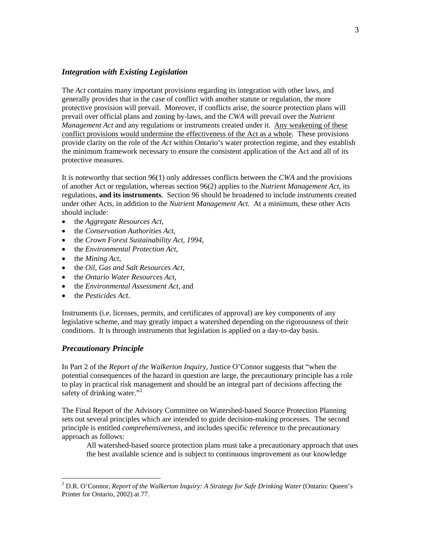# *Integration with Existing Legislation*

The *Act* contains many important provisions regarding its integration with other laws, and generally provides that in the case of conflict with another statute or regulation, the more protective provision will prevail. Moreover, if conflicts arise, the source protection plans will prevail over official plans and zoning by-laws, and the *CWA* will prevail over the *Nutrient Management Act* and any regulations or instruments created under it. Any weakening of these conflict provisions would undermine the effectiveness of the Act as a whole. These provisions provide clarity on the role of the *Act* within Ontario's water protection regime, and they establish the minimum framework necessary to ensure the consistent application of the Act and all of its protective measures.

It is noteworthy that section 96(1) only addresses conflicts between the *CWA* and the provisions of another Act or regulation, whereas section 96(2) applies to the *Nutrient Management Act*, its regulations, **and its instruments**. Section 96 should be broadened to include instruments created under other Acts, in addition to the *Nutrient Management Act*. At a minimum, these other Acts should include:

- the *Aggregate Resources Act*,
- the *Conservation Authorities Act*,
- the *Crown Forest Sustainability Act, 1994*,
- the *Environmental Protection Act*,
- the *Mining Act*,
- the *Oil, Gas and Salt Resources Act*,
- the *Ontario Water Resources Act*,
- the *Environmental Assessment Act*, and
- the *Pesticides Act*.

Instruments (i.e. licenses, permits, and certificates of approval) are key components of any legislative scheme, and may greatly impact a watershed depending on the rigorousness of their conditions. It is through instruments that legislation is applied on a day-to-day basis.

# *Precautionary Principle*

 $\overline{a}$ 

In Part 2 of the *Report of the Walkerton Inquiry*, Justice O'Connor suggests that "when the potential consequences of the hazard in question are large, the precautionary principle has a role to play in practical risk management and should be an integral part of decisions affecting the safety of drinking water."<sup>[2](#page-2-0)</sup>

The Final Report of the Advisory Committee on Watershed-based Source Protection Planning sets out several principles which are intended to guide decision-making processes. The second principle is entitled *comprehensiveness*, and includes specific reference to the precautionary approach as follows:

All watershed-based source protection plans must take a precautionary approach that uses the best available science and is subject to continuous improvement as our knowledge

<span id="page-2-0"></span><sup>&</sup>lt;sup>2</sup> D.R. O'Connor, *Report of the Walkerton Inquiry: A Strategy for Safe Drinking Water* (Ontario: Queen's Printer for Ontario, 2002) at 77.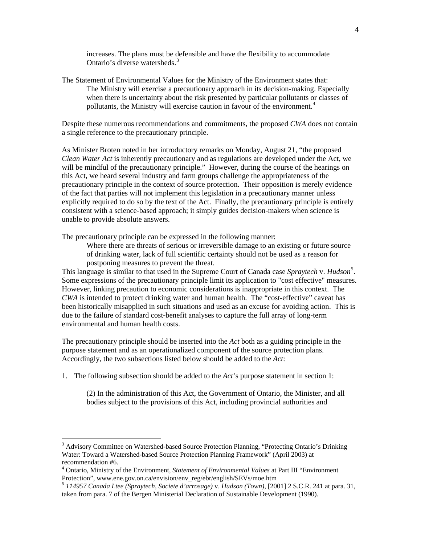increases. The plans must be defensible and have the flexibility to accommodate Ontario's diverse watersheds.<sup>[3](#page-3-0)</sup>

The Statement of Environmental Values for the Ministry of the Environment states that: The Ministry will exercise a precautionary approach in its decision-making. Especially when there is uncertainty about the risk presented by particular pollutants or classes of pollutants, the Ministry will exercise caution in favour of the environment.<sup>[4](#page-3-1)</sup>

Despite these numerous recommendations and commitments, the proposed *CWA* does not contain a single reference to the precautionary principle.

As Minister Broten noted in her introductory remarks on Monday, August 21, "the proposed *Clean Water Act* is inherently precautionary and as regulations are developed under the Act, we will be mindful of the precautionary principle." However, during the course of the hearings on this Act, we heard several industry and farm groups challenge the appropriateness of the precautionary principle in the context of source protection. Their opposition is merely evidence of the fact that parties will not implement this legislation in a precautionary manner unless explicitly required to do so by the text of the Act. Finally, the precautionary principle is entirely consistent with a science-based approach; it simply guides decision-makers when science is unable to provide absolute answers.

The precautionary principle can be expressed in the following manner:

Where there are threats of serious or irreversible damage to an existing or future source of drinking water, lack of full scientific certainty should not be used as a reason for postponing measures to prevent the threat.

This language is similar to that used in the Supreme Court of Canada case Spraytech v. *Hudson*<sup>[5](#page-3-2)</sup>. Some expressions of the precautionary principle limit its application to "cost effective" measures. However, linking precaution to economic considerations is inappropriate in this context. The *CWA* is intended to protect drinking water and human health. The "cost-effective" caveat has been historically misapplied in such situations and used as an excuse for avoiding action. This is due to the failure of standard cost-benefit analyses to capture the full array of long-term environmental and human health costs.

The precautionary principle should be inserted into the *Act* both as a guiding principle in the purpose statement and as an operationalized component of the source protection plans. Accordingly, the two subsections listed below should be added to the *Act*:

1. The following subsection should be added to the *Act*'s purpose statement in section 1:

(2) In the administration of this Act, the Government of Ontario, the Minister, and all bodies subject to the provisions of this Act, including provincial authorities and

 $\overline{a}$ 

<span id="page-3-0"></span><sup>&</sup>lt;sup>3</sup> Advisory Committee on Watershed-based Source Protection Planning, "Protecting Ontario's Drinking Water: Toward a Watershed-based Source Protection Planning Framework" (April 2003) at recommendation #6.

<span id="page-3-1"></span><sup>4</sup> Ontario, Ministry of the Environment, *Statement of Environmental Values* at Part III "Environment Protection", www.ene.gov.on.ca/envision/env\_reg/ebr/english/SEVs/moe.htm

<span id="page-3-2"></span><sup>5</sup> *114957 Canada Ltee (Spraytech, Societe d'arrosage)* v. *Hudson (Town)*, [2001] 2 S.C.R. 241 at para. 31, taken from para. 7 of the Bergen Ministerial Declaration of Sustainable Development (1990).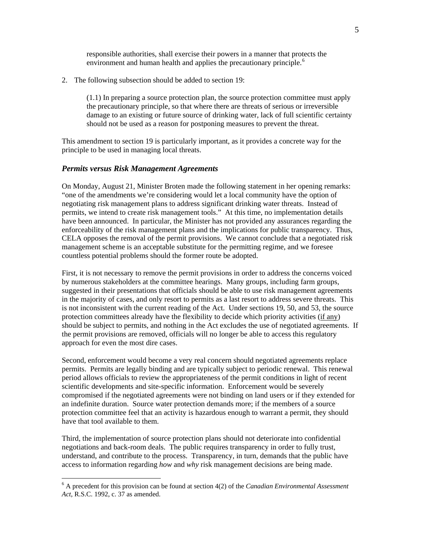responsible authorities, shall exercise their powers in a manner that protects the environment and human health and applies the precautionary principle.<sup>[6](#page-4-0)</sup>

2. The following subsection should be added to section 19:

(1.1) In preparing a source protection plan, the source protection committee must apply the precautionary principle, so that where there are threats of serious or irreversible damage to an existing or future source of drinking water, lack of full scientific certainty should not be used as a reason for postponing measures to prevent the threat.

This amendment to section 19 is particularly important, as it provides a concrete way for the principle to be used in managing local threats.

#### *Permits versus Risk Management Agreements*

 $\overline{a}$ 

On Monday, August 21, Minister Broten made the following statement in her opening remarks: "one of the amendments we're considering would let a local community have the option of negotiating risk management plans to address significant drinking water threats. Instead of permits, we intend to create risk management tools." At this time, no implementation details have been announced. In particular, the Minister has not provided any assurances regarding the enforceability of the risk management plans and the implications for public transparency. Thus, CELA opposes the removal of the permit provisions. We cannot conclude that a negotiated risk management scheme is an acceptable substitute for the permitting regime, and we foresee countless potential problems should the former route be adopted.

First, it is not necessary to remove the permit provisions in order to address the concerns voiced by numerous stakeholders at the committee hearings. Many groups, including farm groups, suggested in their presentations that officials should be able to use risk management agreements in the majority of cases, and only resort to permits as a last resort to address severe threats. This is not inconsistent with the current reading of the Act. Under sections 19, 50, and 53, the source protection committees already have the flexibility to decide which priority activities (if any) should be subject to permits, and nothing in the Act excludes the use of negotiated agreements. If the permit provisions are removed, officials will no longer be able to access this regulatory approach for even the most dire cases.

Second, enforcement would become a very real concern should negotiated agreements replace permits. Permits are legally binding and are typically subject to periodic renewal. This renewal period allows officials to review the appropriateness of the permit conditions in light of recent scientific developments and site-specific information. Enforcement would be severely compromised if the negotiated agreements were not binding on land users or if they extended for an indefinite duration. Source water protection demands more; if the members of a source protection committee feel that an activity is hazardous enough to warrant a permit, they should have that tool available to them.

Third, the implementation of source protection plans should not deteriorate into confidential negotiations and back-room deals. The public requires transparency in order to fully trust, understand, and contribute to the process. Transparency, in turn, demands that the public have access to information regarding *how* and *why* risk management decisions are being made.

<span id="page-4-0"></span><sup>6</sup> A precedent for this provision can be found at section 4(2) of the *Canadian Environmental Assessment Act*, R.S.C. 1992, c. 37 as amended.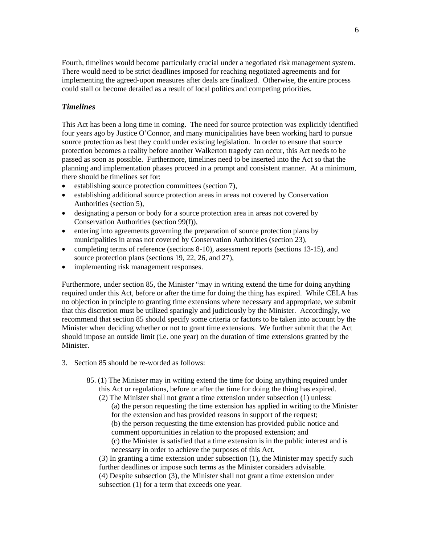Fourth, timelines would become particularly crucial under a negotiated risk management system. There would need to be strict deadlines imposed for reaching negotiated agreements and for implementing the agreed-upon measures after deals are finalized. Otherwise, the entire process could stall or become derailed as a result of local politics and competing priorities.

# *Timelines*

This Act has been a long time in coming. The need for source protection was explicitly identified four years ago by Justice O'Connor, and many municipalities have been working hard to pursue source protection as best they could under existing legislation. In order to ensure that source protection becomes a reality before another Walkerton tragedy can occur, this Act needs to be passed as soon as possible. Furthermore, timelines need to be inserted into the Act so that the planning and implementation phases proceed in a prompt and consistent manner. At a minimum, there should be timelines set for:

- establishing source protection committees (section 7),
- establishing additional source protection areas in areas not covered by Conservation Authorities (section 5),
- designating a person or body for a source protection area in areas not covered by Conservation Authorities (section 99(f)),
- entering into agreements governing the preparation of source protection plans by municipalities in areas not covered by Conservation Authorities (section 23),
- completing terms of reference (sections 8-10), assessment reports (sections 13-15), and source protection plans (sections 19, 22, 26, and 27),
- implementing risk management responses.

Furthermore, under section 85, the Minister "may in writing extend the time for doing anything required under this Act, before or after the time for doing the thing has expired. While CELA has no objection in principle to granting time extensions where necessary and appropriate, we submit that this discretion must be utilized sparingly and judiciously by the Minister. Accordingly, we recommend that section 85 should specify some criteria or factors to be taken into account by the Minister when deciding whether or not to grant time extensions. We further submit that the Act should impose an outside limit (i.e. one year) on the duration of time extensions granted by the Minister.

- 3. Section 85 should be re-worded as follows:
	- 85. (1) The Minister may in writing extend the time for doing anything required under this Act or regulations, before or after the time for doing the thing has expired.
		- (2) The Minister shall not grant a time extension under subsection (1) unless: (a) the person requesting the time extension has applied in writing to the Minister for the extension and has provided reasons in support of the request; (b) the person requesting the time extension has provided public notice and comment opportunities in relation to the proposed extension; and (c) the Minister is satisfied that a time extension is in the public interest and is necessary in order to achieve the purposes of this Act.

(3) In granting a time extension under subsection (1), the Minister may specify such further deadlines or impose such terms as the Minister considers advisable. (4) Despite subsection (3), the Minister shall not grant a time extension under subsection (1) for a term that exceeds one year.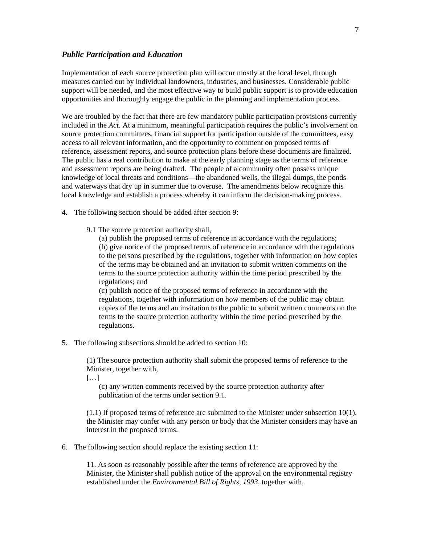#### *Public Participation and Education*

Implementation of each source protection plan will occur mostly at the local level, through measures carried out by individual landowners, industries, and businesses. Considerable public support will be needed, and the most effective way to build public support is to provide education opportunities and thoroughly engage the public in the planning and implementation process.

We are troubled by the fact that there are few mandatory public participation provisions currently included in the *Act*. At a minimum, meaningful participation requires the public's involvement on source protection committees, financial support for participation outside of the committees, easy access to all relevant information, and the opportunity to comment on proposed terms of reference, assessment reports, and source protection plans before these documents are finalized. The public has a real contribution to make at the early planning stage as the terms of reference and assessment reports are being drafted. The people of a community often possess unique knowledge of local threats and conditions—the abandoned wells, the illegal dumps, the ponds and waterways that dry up in summer due to overuse. The amendments below recognize this local knowledge and establish a process whereby it can inform the decision-making process.

- 4. The following section should be added after section 9:
	- 9.1 The source protection authority shall,

(a) publish the proposed terms of reference in accordance with the regulations; (b) give notice of the proposed terms of reference in accordance with the regulations to the persons prescribed by the regulations, together with information on how copies of the terms may be obtained and an invitation to submit written comments on the terms to the source protection authority within the time period prescribed by the regulations; and

(c) publish notice of the proposed terms of reference in accordance with the regulations, together with information on how members of the public may obtain copies of the terms and an invitation to the public to submit written comments on the terms to the source protection authority within the time period prescribed by the regulations.

5. The following subsections should be added to section 10:

(1) The source protection authority shall submit the proposed terms of reference to the Minister, together with,

[…]

(c) any written comments received by the source protection authority after publication of the terms under section 9.1.

(1.1) If proposed terms of reference are submitted to the Minister under subsection 10(1), the Minister may confer with any person or body that the Minister considers may have an interest in the proposed terms.

6. The following section should replace the existing section 11:

11. As soon as reasonably possible after the terms of reference are approved by the Minister, the Minister shall publish notice of the approval on the environmental registry established under the *Environmental Bill of Rights, 1993*, together with,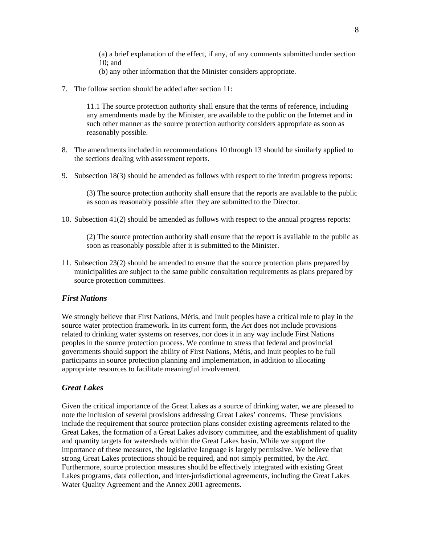(a) a brief explanation of the effect, if any, of any comments submitted under section 10; and

- (b) any other information that the Minister considers appropriate.
- 7. The follow section should be added after section 11:

11.1 The source protection authority shall ensure that the terms of reference, including any amendments made by the Minister, are available to the public on the Internet and in such other manner as the source protection authority considers appropriate as soon as reasonably possible.

- 8. The amendments included in recommendations 10 through 13 should be similarly applied to the sections dealing with assessment reports.
- 9. Subsection 18(3) should be amended as follows with respect to the interim progress reports:

(3) The source protection authority shall ensure that the reports are available to the public as soon as reasonably possible after they are submitted to the Director.

10. Subsection 41(2) should be amended as follows with respect to the annual progress reports:

(2) The source protection authority shall ensure that the report is available to the public as soon as reasonably possible after it is submitted to the Minister.

11. Subsection 23(2) should be amended to ensure that the source protection plans prepared by municipalities are subject to the same public consultation requirements as plans prepared by source protection committees.

#### *First Nations*

We strongly believe that First Nations, Métis, and Inuit peoples have a critical role to play in the source water protection framework. In its current form, the *Act* does not include provisions related to drinking water systems on reserves, nor does it in any way include First Nations peoples in the source protection process. We continue to stress that federal and provincial governments should support the ability of First Nations, Métis, and Inuit peoples to be full participants in source protection planning and implementation, in addition to allocating appropriate resources to facilitate meaningful involvement.

### *Great Lakes*

Given the critical importance of the Great Lakes as a source of drinking water, we are pleased to note the inclusion of several provisions addressing Great Lakes' concerns. These provisions include the requirement that source protection plans consider existing agreements related to the Great Lakes, the formation of a Great Lakes advisory committee, and the establishment of quality and quantity targets for watersheds within the Great Lakes basin. While we support the importance of these measures, the legislative language is largely permissive. We believe that strong Great Lakes protections should be required, and not simply permitted, by the *Act*. Furthermore, source protection measures should be effectively integrated with existing Great Lakes programs, data collection, and inter-jurisdictional agreements, including the Great Lakes Water Quality Agreement and the Annex 2001 agreements.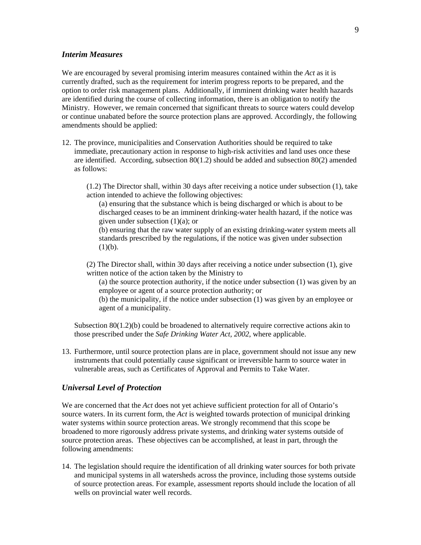# *Interim Measures*

We are encouraged by several promising interim measures contained within the *Act* as it is currently drafted, such as the requirement for interim progress reports to be prepared, and the option to order risk management plans. Additionally, if imminent drinking water health hazards are identified during the course of collecting information, there is an obligation to notify the Ministry. However, we remain concerned that significant threats to source waters could develop or continue unabated before the source protection plans are approved. Accordingly, the following amendments should be applied:

12. The province, municipalities and Conservation Authorities should be required to take immediate, precautionary action in response to high-risk activities and land uses once these are identified. According, subsection 80(1.2) should be added and subsection 80(2) amended as follows:

(1.2) The Director shall, within 30 days after receiving a notice under subsection (1), take action intended to achieve the following objectives:

(a) ensuring that the substance which is being discharged or which is about to be discharged ceases to be an imminent drinking-water health hazard, if the notice was given under subsection (1)(a); or

(b) ensuring that the raw water supply of an existing drinking-water system meets all standards prescribed by the regulations, if the notice was given under subsection  $(1)(b)$ .

(2) The Director shall, within 30 days after receiving a notice under subsection (1), give written notice of the action taken by the Ministry to

(a) the source protection authority, if the notice under subsection (1) was given by an employee or agent of a source protection authority; or

(b) the municipality, if the notice under subsection (1) was given by an employee or agent of a municipality.

Subsection 80(1.2)(b) could be broadened to alternatively require corrective actions akin to those prescribed under the *Safe Drinking Water Act, 2002*, where applicable.

13. Furthermore, until source protection plans are in place, government should not issue any new instruments that could potentially cause significant or irreversible harm to source water in vulnerable areas, such as Certificates of Approval and Permits to Take Water.

# *Universal Level of Protection*

We are concerned that the *Act* does not yet achieve sufficient protection for all of Ontario's source waters. In its current form, the *Act* is weighted towards protection of municipal drinking water systems within source protection areas. We strongly recommend that this scope be broadened to more rigorously address private systems, and drinking water systems outside of source protection areas. These objectives can be accomplished, at least in part, through the following amendments:

14. The legislation should require the identification of all drinking water sources for both private and municipal systems in all watersheds across the province, including those systems outside of source protection areas. For example, assessment reports should include the location of all wells on provincial water well records.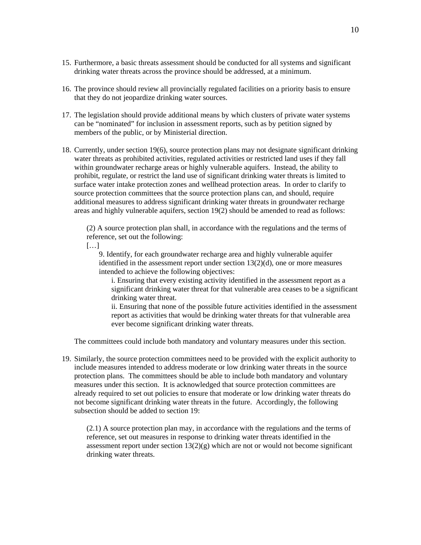- 15. Furthermore, a basic threats assessment should be conducted for all systems and significant drinking water threats across the province should be addressed, at a minimum.
- 16. The province should review all provincially regulated facilities on a priority basis to ensure that they do not jeopardize drinking water sources.
- 17. The legislation should provide additional means by which clusters of private water systems can be "nominated" for inclusion in assessment reports, such as by petition signed by members of the public, or by Ministerial direction.
- 18. Currently, under section 19(6), source protection plans may not designate significant drinking water threats as prohibited activities, regulated activities or restricted land uses if they fall within groundwater recharge areas or highly vulnerable aquifers. Instead, the ability to prohibit, regulate, or restrict the land use of significant drinking water threats is limited to surface water intake protection zones and wellhead protection areas. In order to clarify to source protection committees that the source protection plans can, and should, require additional measures to address significant drinking water threats in groundwater recharge areas and highly vulnerable aquifers, section 19(2) should be amended to read as follows:

(2) A source protection plan shall, in accordance with the regulations and the terms of reference, set out the following:

[…]

9. Identify, for each groundwater recharge area and highly vulnerable aquifer identified in the assessment report under section 13(2)(d), one or more measures intended to achieve the following objectives:

i. Ensuring that every existing activity identified in the assessment report as a significant drinking water threat for that vulnerable area ceases to be a significant drinking water threat.

ii. Ensuring that none of the possible future activities identified in the assessment report as activities that would be drinking water threats for that vulnerable area ever become significant drinking water threats.

The committees could include both mandatory and voluntary measures under this section.

19. Similarly, the source protection committees need to be provided with the explicit authority to include measures intended to address moderate or low drinking water threats in the source protection plans. The committees should be able to include both mandatory and voluntary measures under this section. It is acknowledged that source protection committees are already required to set out policies to ensure that moderate or low drinking water threats do not become significant drinking water threats in the future. Accordingly, the following subsection should be added to section 19:

(2.1) A source protection plan may, in accordance with the regulations and the terms of reference, set out measures in response to drinking water threats identified in the assessment report under section  $13(2)(g)$  which are not or would not become significant drinking water threats.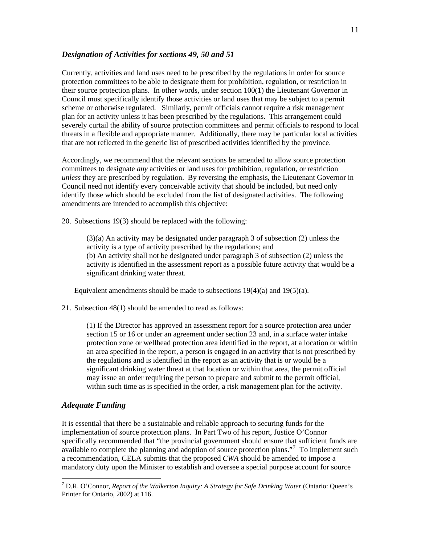# *Designation of Activities for sections 49, 50 and 51*

Currently, activities and land uses need to be prescribed by the regulations in order for source protection committees to be able to designate them for prohibition, regulation, or restriction in their source protection plans. In other words, under section 100(1) the Lieutenant Governor in Council must specifically identify those activities or land uses that may be subject to a permit scheme or otherwise regulated. Similarly, permit officials cannot require a risk management plan for an activity unless it has been prescribed by the regulations. This arrangement could severely curtail the ability of source protection committees and permit officials to respond to local threats in a flexible and appropriate manner. Additionally, there may be particular local activities that are not reflected in the generic list of prescribed activities identified by the province.

Accordingly, we recommend that the relevant sections be amended to allow source protection committees to designate *any* activities or land uses for prohibition, regulation, or restriction *unless* they are prescribed by regulation. By reversing the emphasis, the Lieutenant Governor in Council need not identify every conceivable activity that should be included, but need only identify those which should be excluded from the list of designated activities. The following amendments are intended to accomplish this objective:

20. Subsections 19(3) should be replaced with the following:

(3)(a) An activity may be designated under paragraph 3 of subsection (2) unless the activity is a type of activity prescribed by the regulations; and (b) An activity shall not be designated under paragraph 3 of subsection (2) unless the activity is identified in the assessment report as a possible future activity that would be a significant drinking water threat.

Equivalent amendments should be made to subsections  $19(4)(a)$  and  $19(5)(a)$ .

21. Subsection 48(1) should be amended to read as follows:

(1) If the Director has approved an assessment report for a source protection area under section 15 or 16 or under an agreement under section 23 and, in a surface water intake protection zone or wellhead protection area identified in the report, at a location or within an area specified in the report, a person is engaged in an activity that is not prescribed by the regulations and is identified in the report as an activity that is or would be a significant drinking water threat at that location or within that area, the permit official may issue an order requiring the person to prepare and submit to the permit official, within such time as is specified in the order, a risk management plan for the activity.

# *Adequate Funding*

 $\overline{a}$ 

It is essential that there be a sustainable and reliable approach to securing funds for the implementation of source protection plans. In Part Two of his report, Justice O'Connor specifically recommended that "the provincial government should ensure that sufficient funds are available to complete the planning and adoption of source protection plans."<sup>[7](#page-10-0)</sup> To implement such a recommendation, CELA submits that the proposed *CWA* should be amended to impose a mandatory duty upon the Minister to establish and oversee a special purpose account for source

<span id="page-10-0"></span><sup>7</sup> D.R. O'Connor, *Report of the Walkerton Inquiry: A Strategy for Safe Drinking Water* (Ontario: Queen's Printer for Ontario, 2002) at 116.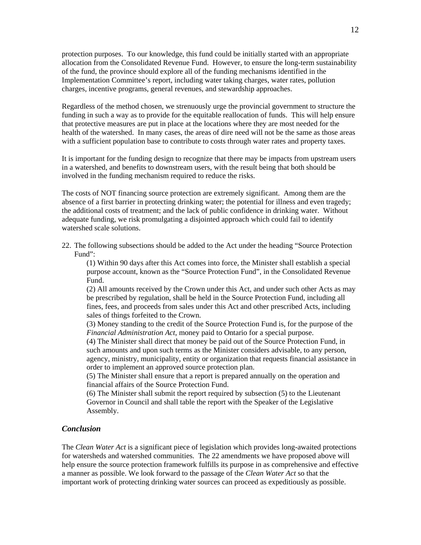protection purposes. To our knowledge, this fund could be initially started with an appropriate allocation from the Consolidated Revenue Fund. However, to ensure the long-term sustainability of the fund, the province should explore all of the funding mechanisms identified in the Implementation Committee's report, including water taking charges, water rates, pollution charges, incentive programs, general revenues, and stewardship approaches.

Regardless of the method chosen, we strenuously urge the provincial government to structure the funding in such a way as to provide for the equitable reallocation of funds. This will help ensure that protective measures are put in place at the locations where they are most needed for the health of the watershed. In many cases, the areas of dire need will not be the same as those areas with a sufficient population base to contribute to costs through water rates and property taxes.

It is important for the funding design to recognize that there may be impacts from upstream users in a watershed, and benefits to downstream users, with the result being that both should be involved in the funding mechanism required to reduce the risks.

The costs of NOT financing source protection are extremely significant. Among them are the absence of a first barrier in protecting drinking water; the potential for illness and even tragedy; the additional costs of treatment; and the lack of public confidence in drinking water. Without adequate funding, we risk promulgating a disjointed approach which could fail to identify watershed scale solutions.

22. The following subsections should be added to the Act under the heading "Source Protection Fund":

(1) Within 90 days after this Act comes into force, the Minister shall establish a special purpose account, known as the "Source Protection Fund", in the Consolidated Revenue Fund.

(2) All amounts received by the Crown under this Act, and under such other Acts as may be prescribed by regulation, shall be held in the Source Protection Fund, including all fines, fees, and proceeds from sales under this Act and other prescribed Acts, including sales of things forfeited to the Crown.

(3) Money standing to the credit of the Source Protection Fund is, for the purpose of the *Financial Administration Act*, money paid to Ontario for a special purpose.

(4) The Minister shall direct that money be paid out of the Source Protection Fund, in such amounts and upon such terms as the Minister considers advisable, to any person, agency, ministry, municipality, entity or organization that requests financial assistance in order to implement an approved source protection plan.

(5) The Minister shall ensure that a report is prepared annually on the operation and financial affairs of the Source Protection Fund.

(6) The Minister shall submit the report required by subsection (5) to the Lieutenant Governor in Council and shall table the report with the Speaker of the Legislative Assembly.

# *Conclusion*

The *Clean Water Act* is a significant piece of legislation which provides long-awaited protections for watersheds and watershed communities. The 22 amendments we have proposed above will help ensure the source protection framework fulfills its purpose in as comprehensive and effective a manner as possible. We look forward to the passage of the *Clean Water Act* so that the important work of protecting drinking water sources can proceed as expeditiously as possible.